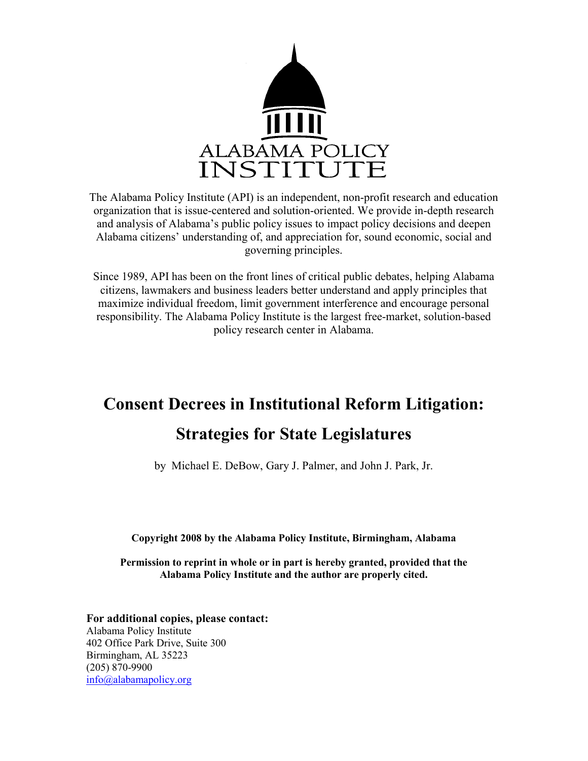

The Alabama Policy Institute (API) is an independent, non-profit research and education organization that is issue-centered and solution-oriented. We provide in-depth research and analysis of Alabama's public policy issues to impact policy decisions and deepen Alabama citizens' understanding of, and appreciation for, sound economic, social and governing principles.

Since 1989, API has been on the front lines of critical public debates, helping Alabama citizens, lawmakers and business leaders better understand and apply principles that maximize individual freedom, limit government interference and encourage personal responsibility. The Alabama Policy Institute is the largest free-market, solution-based policy research center in Alabama.

# Consent Decrees in Institutional Reform Litigation:

# Strategies for State Legislatures

by Michael E. DeBow, Gary J. Palmer, and John J. Park, Jr.

Copyright 2008 by the Alabama Policy Institute, Birmingham, Alabama

Permission to reprint in whole or in part is hereby granted, provided that the Alabama Policy Institute and the author are properly cited.

For additional copies, please contact: Alabama Policy Institute 402 Office Park Drive, Suite 300 Birmingham, AL 35223 (205) 870-9900 info@alabamapolicy.org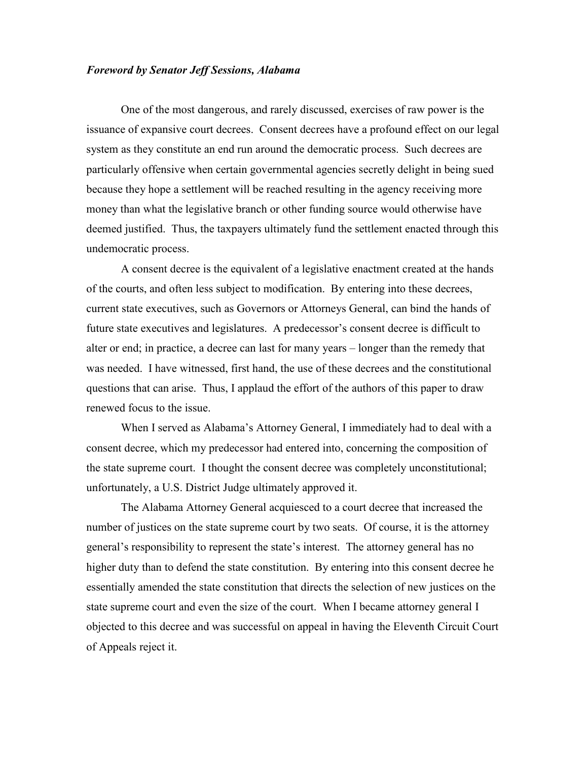### Foreword by Senator Jeff Sessions, Alabama

One of the most dangerous, and rarely discussed, exercises of raw power is the issuance of expansive court decrees. Consent decrees have a profound effect on our legal system as they constitute an end run around the democratic process. Such decrees are particularly offensive when certain governmental agencies secretly delight in being sued because they hope a settlement will be reached resulting in the agency receiving more money than what the legislative branch or other funding source would otherwise have deemed justified. Thus, the taxpayers ultimately fund the settlement enacted through this undemocratic process.

A consent decree is the equivalent of a legislative enactment created at the hands of the courts, and often less subject to modification. By entering into these decrees, current state executives, such as Governors or Attorneys General, can bind the hands of future state executives and legislatures. A predecessor's consent decree is difficult to alter or end; in practice, a decree can last for many years – longer than the remedy that was needed. I have witnessed, first hand, the use of these decrees and the constitutional questions that can arise. Thus, I applaud the effort of the authors of this paper to draw renewed focus to the issue.

When I served as Alabama's Attorney General, I immediately had to deal with a consent decree, which my predecessor had entered into, concerning the composition of the state supreme court. I thought the consent decree was completely unconstitutional; unfortunately, a U.S. District Judge ultimately approved it.

The Alabama Attorney General acquiesced to a court decree that increased the number of justices on the state supreme court by two seats. Of course, it is the attorney general's responsibility to represent the state's interest. The attorney general has no higher duty than to defend the state constitution. By entering into this consent decree he essentially amended the state constitution that directs the selection of new justices on the state supreme court and even the size of the court. When I became attorney general I objected to this decree and was successful on appeal in having the Eleventh Circuit Court of Appeals reject it.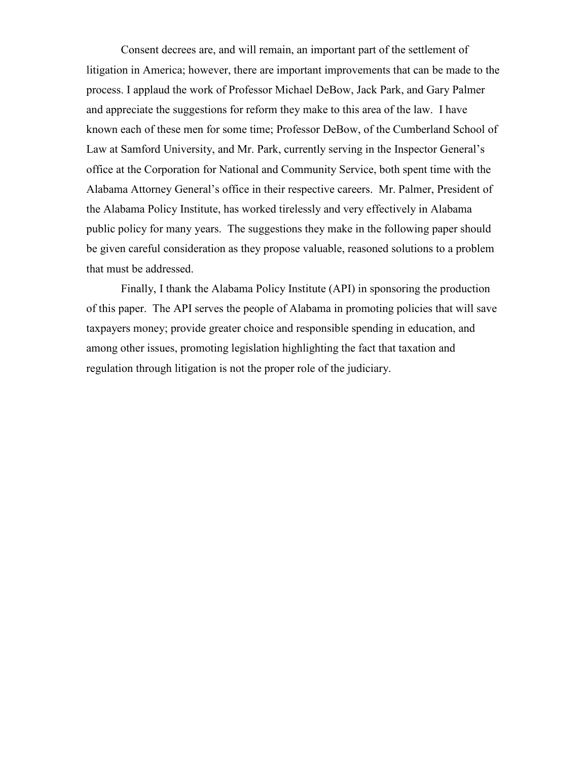Consent decrees are, and will remain, an important part of the settlement of litigation in America; however, there are important improvements that can be made to the process. I applaud the work of Professor Michael DeBow, Jack Park, and Gary Palmer and appreciate the suggestions for reform they make to this area of the law. I have known each of these men for some time; Professor DeBow, of the Cumberland School of Law at Samford University, and Mr. Park, currently serving in the Inspector General's office at the Corporation for National and Community Service, both spent time with the Alabama Attorney General's office in their respective careers. Mr. Palmer, President of the Alabama Policy Institute, has worked tirelessly and very effectively in Alabama public policy for many years. The suggestions they make in the following paper should be given careful consideration as they propose valuable, reasoned solutions to a problem that must be addressed.

Finally, I thank the Alabama Policy Institute (API) in sponsoring the production of this paper. The API serves the people of Alabama in promoting policies that will save taxpayers money; provide greater choice and responsible spending in education, and among other issues, promoting legislation highlighting the fact that taxation and regulation through litigation is not the proper role of the judiciary.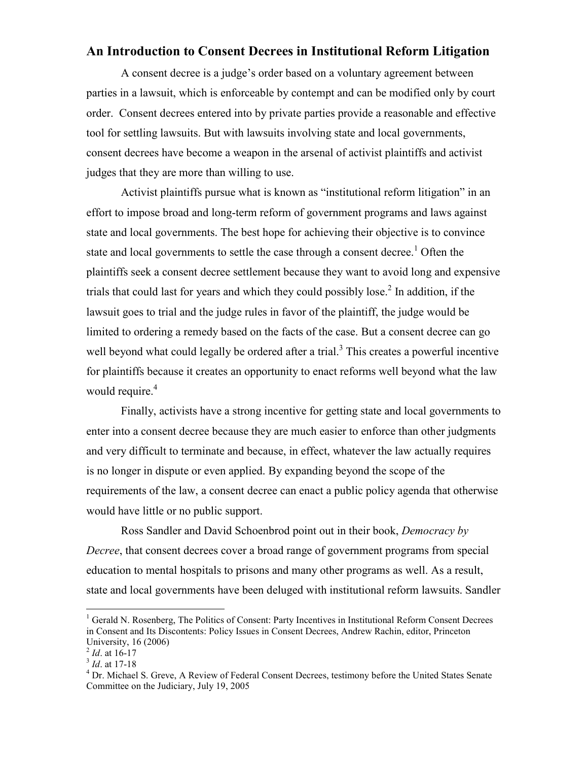# An Introduction to Consent Decrees in Institutional Reform Litigation

 A consent decree is a judge's order based on a voluntary agreement between parties in a lawsuit, which is enforceable by contempt and can be modified only by court order. Consent decrees entered into by private parties provide a reasonable and effective tool for settling lawsuits. But with lawsuits involving state and local governments, consent decrees have become a weapon in the arsenal of activist plaintiffs and activist judges that they are more than willing to use.

Activist plaintiffs pursue what is known as "institutional reform litigation" in an effort to impose broad and long-term reform of government programs and laws against state and local governments. The best hope for achieving their objective is to convince state and local governments to settle the case through a consent decree.<sup>1</sup> Often the plaintiffs seek a consent decree settlement because they want to avoid long and expensive trials that could last for years and which they could possibly lose.<sup>2</sup> In addition, if the lawsuit goes to trial and the judge rules in favor of the plaintiff, the judge would be limited to ordering a remedy based on the facts of the case. But a consent decree can go well beyond what could legally be ordered after a trial.<sup>3</sup> This creates a powerful incentive for plaintiffs because it creates an opportunity to enact reforms well beyond what the law would require.<sup>4</sup>

Finally, activists have a strong incentive for getting state and local governments to enter into a consent decree because they are much easier to enforce than other judgments and very difficult to terminate and because, in effect, whatever the law actually requires is no longer in dispute or even applied. By expanding beyond the scope of the requirements of the law, a consent decree can enact a public policy agenda that otherwise would have little or no public support.

Ross Sandler and David Schoenbrod point out in their book, Democracy by Decree, that consent decrees cover a broad range of government programs from special education to mental hospitals to prisons and many other programs as well. As a result, state and local governments have been deluged with institutional reform lawsuits. Sandler

 $\overline{a}$ 

<sup>&</sup>lt;sup>1</sup> Gerald N. Rosenberg, The Politics of Consent: Party Incentives in Institutional Reform Consent Decrees in Consent and Its Discontents: Policy Issues in Consent Decrees, Andrew Rachin, editor, Princeton University, 16 (2006)

 $^{2}$  *Id.* at 16-17

 $3$  *Id.* at 17-18

<sup>&</sup>lt;sup>4</sup> Dr. Michael S. Greve, A Review of Federal Consent Decrees, testimony before the United States Senate Committee on the Judiciary, July 19, 2005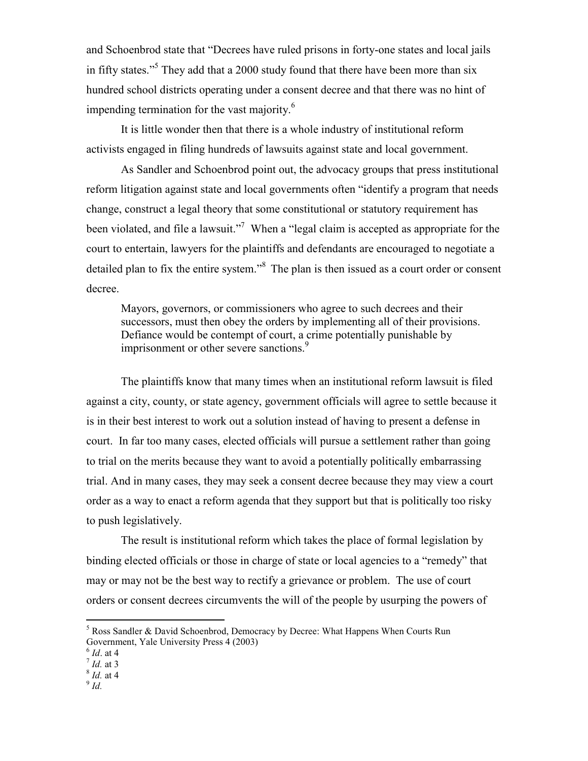and Schoenbrod state that "Decrees have ruled prisons in forty-one states and local jails in fifty states."<sup>5</sup> They add that a 2000 study found that there have been more than six hundred school districts operating under a consent decree and that there was no hint of impending termination for the vast majority. $6\overline{6}$ 

It is little wonder then that there is a whole industry of institutional reform activists engaged in filing hundreds of lawsuits against state and local government.

As Sandler and Schoenbrod point out, the advocacy groups that press institutional reform litigation against state and local governments often "identify a program that needs change, construct a legal theory that some constitutional or statutory requirement has been violated, and file a lawsuit."<sup>7</sup> When a "legal claim is accepted as appropriate for the court to entertain, lawyers for the plaintiffs and defendants are encouraged to negotiate a detailed plan to fix the entire system."<sup>8</sup> The plan is then issued as a court order or consent decree.

Mayors, governors, or commissioners who agree to such decrees and their successors, must then obey the orders by implementing all of their provisions. Defiance would be contempt of court, a crime potentially punishable by imprisonment or other severe sanctions.<sup>9</sup>

The plaintiffs know that many times when an institutional reform lawsuit is filed against a city, county, or state agency, government officials will agree to settle because it is in their best interest to work out a solution instead of having to present a defense in court. In far too many cases, elected officials will pursue a settlement rather than going to trial on the merits because they want to avoid a potentially politically embarrassing trial. And in many cases, they may seek a consent decree because they may view a court order as a way to enact a reform agenda that they support but that is politically too risky to push legislatively.

The result is institutional reform which takes the place of formal legislation by binding elected officials or those in charge of state or local agencies to a "remedy" that may or may not be the best way to rectify a grievance or problem. The use of court orders or consent decrees circumvents the will of the people by usurping the powers of

- $8$  *Id.* at 4
- $\rm ^{9}$  Id.

<sup>&</sup>lt;sup>5</sup> Ross Sandler & David Schoenbrod, Democracy by Decree: What Happens When Courts Run Government, Yale University Press 4 (2003)

 $^6$  *Id.* at 4

 $<sup>7</sup>$  *Id.* at 3</sup>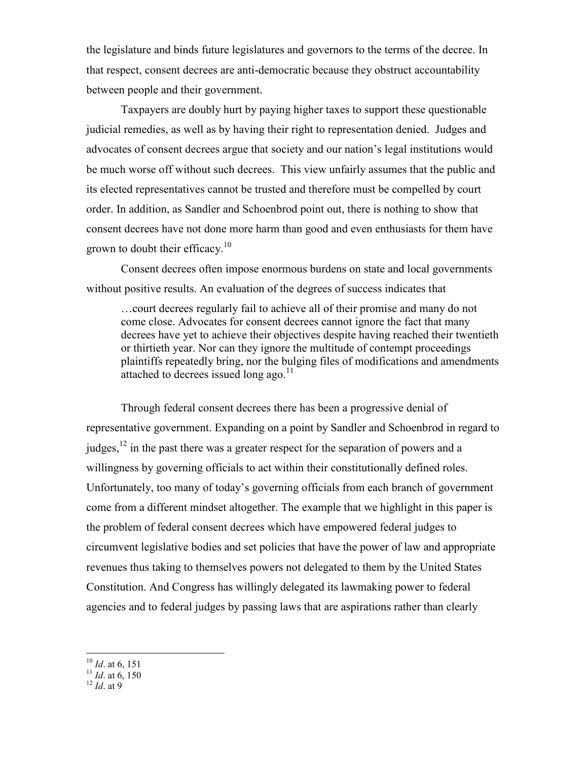the legislature and binds future legislatures and governors to the terms of the decree. In that respect, consent decrees are anti-democratic because they obstruct accountability between people and their government.

Taxpayers are doubly hurt by paying higher taxes to support these questionable judicial remedies, as well as by having their right to representation denied. Judges and advocates of consent decrees argue that society and our nation's legal institutions would be much worse off without such decrees. This view unfairly assumes that the public and its elected representatives cannot be trusted and therefore must be compelled by court order. In addition, as Sandler and Schoenbrod point out, there is nothing to show that consent decrees have not done more harm than good and even enthusiasts for them have grown to doubt their efficacy.<sup>10</sup>

Consent decrees often impose enormous burdens on state and local governments without positive results. An evaluation of the degrees of success indicates that

…court decrees regularly fail to achieve all of their promise and many do not come close. Advocates for consent decrees cannot ignore the fact that many decrees have yet to achieve their objectives despite having reached their twentieth or thirtieth year. Nor can they ignore the multitude of contempt proceedings plaintiffs repeatedly bring, nor the bulging files of modifications and amendments attached to decrees issued long ago. $11$ 

Through federal consent decrees there has been a progressive denial of representative government. Expanding on a point by Sandler and Schoenbrod in regard to judges, $^{12}$  in the past there was a greater respect for the separation of powers and a willingness by governing officials to act within their constitutionally defined roles. Unfortunately, too many of today's governing officials from each branch of government come from a different mindset altogether. The example that we highlight in this paper is the problem of federal consent decrees which have empowered federal judges to circumvent legislative bodies and set policies that have the power of law and appropriate revenues thus taking to themselves powers not delegated to them by the United States Constitution. And Congress has willingly delegated its lawmaking power to federal agencies and to federal judges by passing laws that are aspirations rather than clearly

- $\overline{a}$  $^{10}$  *Id.* at 6, 151
- $\frac{11}{11}$  *Id.* at 6, 150
- $^{12}$  *Id.* at 9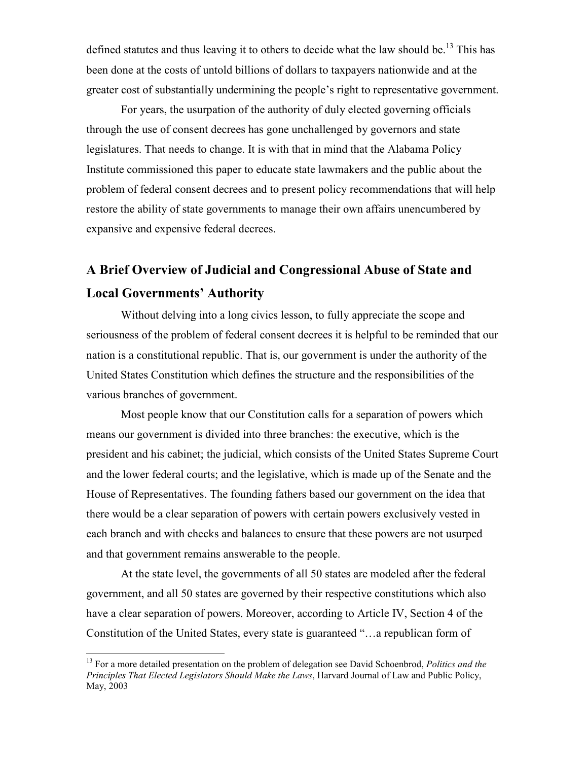defined statutes and thus leaving it to others to decide what the law should be.<sup>13</sup> This has been done at the costs of untold billions of dollars to taxpayers nationwide and at the greater cost of substantially undermining the people's right to representative government.

For years, the usurpation of the authority of duly elected governing officials through the use of consent decrees has gone unchallenged by governors and state legislatures. That needs to change. It is with that in mind that the Alabama Policy Institute commissioned this paper to educate state lawmakers and the public about the problem of federal consent decrees and to present policy recommendations that will help restore the ability of state governments to manage their own affairs unencumbered by expansive and expensive federal decrees.

# A Brief Overview of Judicial and Congressional Abuse of State and Local Governments' Authority

Without delving into a long civics lesson, to fully appreciate the scope and seriousness of the problem of federal consent decrees it is helpful to be reminded that our nation is a constitutional republic. That is, our government is under the authority of the United States Constitution which defines the structure and the responsibilities of the various branches of government.

Most people know that our Constitution calls for a separation of powers which means our government is divided into three branches: the executive, which is the president and his cabinet; the judicial, which consists of the United States Supreme Court and the lower federal courts; and the legislative, which is made up of the Senate and the House of Representatives. The founding fathers based our government on the idea that there would be a clear separation of powers with certain powers exclusively vested in each branch and with checks and balances to ensure that these powers are not usurped and that government remains answerable to the people.

At the state level, the governments of all 50 states are modeled after the federal government, and all 50 states are governed by their respective constitutions which also have a clear separation of powers. Moreover, according to Article IV, Section 4 of the Constitution of the United States, every state is guaranteed "…a republican form of

 $\overline{a}$ 

<sup>&</sup>lt;sup>13</sup> For a more detailed presentation on the problem of delegation see David Schoenbrod, Politics and the Principles That Elected Legislators Should Make the Laws, Harvard Journal of Law and Public Policy, May, 2003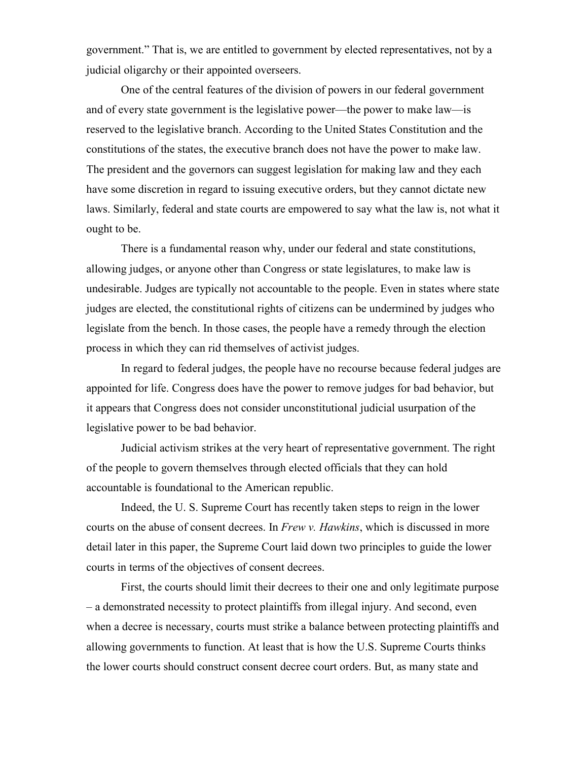government." That is, we are entitled to government by elected representatives, not by a judicial oligarchy or their appointed overseers.

One of the central features of the division of powers in our federal government and of every state government is the legislative power—the power to make law—is reserved to the legislative branch. According to the United States Constitution and the constitutions of the states, the executive branch does not have the power to make law. The president and the governors can suggest legislation for making law and they each have some discretion in regard to issuing executive orders, but they cannot dictate new laws. Similarly, federal and state courts are empowered to say what the law is, not what it ought to be.

There is a fundamental reason why, under our federal and state constitutions, allowing judges, or anyone other than Congress or state legislatures, to make law is undesirable. Judges are typically not accountable to the people. Even in states where state judges are elected, the constitutional rights of citizens can be undermined by judges who legislate from the bench. In those cases, the people have a remedy through the election process in which they can rid themselves of activist judges.

In regard to federal judges, the people have no recourse because federal judges are appointed for life. Congress does have the power to remove judges for bad behavior, but it appears that Congress does not consider unconstitutional judicial usurpation of the legislative power to be bad behavior.

Judicial activism strikes at the very heart of representative government. The right of the people to govern themselves through elected officials that they can hold accountable is foundational to the American republic.

Indeed, the U. S. Supreme Court has recently taken steps to reign in the lower courts on the abuse of consent decrees. In *Frew v. Hawkins*, which is discussed in more detail later in this paper, the Supreme Court laid down two principles to guide the lower courts in terms of the objectives of consent decrees.

First, the courts should limit their decrees to their one and only legitimate purpose – a demonstrated necessity to protect plaintiffs from illegal injury. And second, even when a decree is necessary, courts must strike a balance between protecting plaintiffs and allowing governments to function. At least that is how the U.S. Supreme Courts thinks the lower courts should construct consent decree court orders. But, as many state and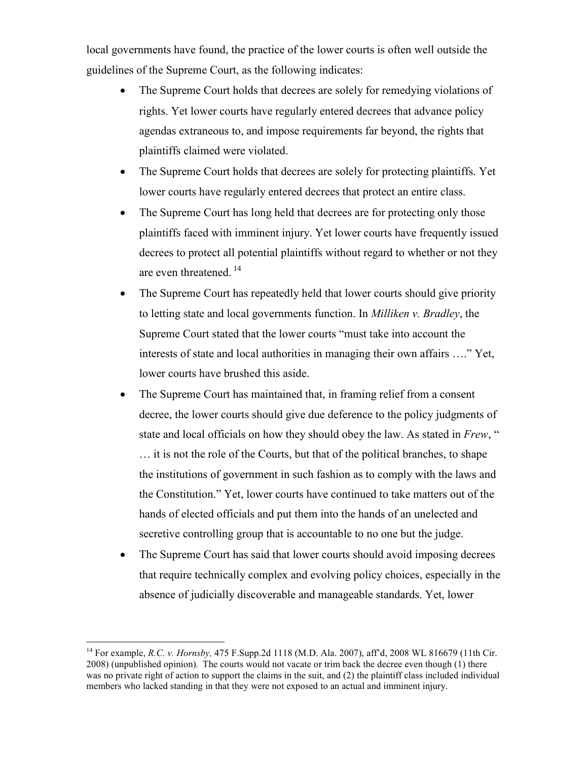local governments have found, the practice of the lower courts is often well outside the guidelines of the Supreme Court, as the following indicates:

- The Supreme Court holds that decrees are solely for remedying violations of rights. Yet lower courts have regularly entered decrees that advance policy agendas extraneous to, and impose requirements far beyond, the rights that plaintiffs claimed were violated.
- The Supreme Court holds that decrees are solely for protecting plaintiffs. Yet lower courts have regularly entered decrees that protect an entire class.
- The Supreme Court has long held that decrees are for protecting only those plaintiffs faced with imminent injury. Yet lower courts have frequently issued decrees to protect all potential plaintiffs without regard to whether or not they are even threatened.<sup>14</sup>
- The Supreme Court has repeatedly held that lower courts should give priority to letting state and local governments function. In Milliken v. Bradley, the Supreme Court stated that the lower courts "must take into account the interests of state and local authorities in managing their own affairs …." Yet, lower courts have brushed this aside.
- The Supreme Court has maintained that, in framing relief from a consent decree, the lower courts should give due deference to the policy judgments of state and local officials on how they should obey the law. As stated in Frew, " … it is not the role of the Courts, but that of the political branches, to shape the institutions of government in such fashion as to comply with the laws and the Constitution." Yet, lower courts have continued to take matters out of the hands of elected officials and put them into the hands of an unelected and secretive controlling group that is accountable to no one but the judge.
- The Supreme Court has said that lower courts should avoid imposing decrees that require technically complex and evolving policy choices, especially in the absence of judicially discoverable and manageable standards. Yet, lower

<sup>-</sup><sup>14</sup> For example, *R.C. v. Hornsby*, 475 F.Supp.2d 1118 (M.D. Ala. 2007), aff'd, 2008 WL 816679 (11th Cir. 2008) (unpublished opinion). The courts would not vacate or trim back the decree even though (1) there was no private right of action to support the claims in the suit, and (2) the plaintiff class included individual members who lacked standing in that they were not exposed to an actual and imminent injury.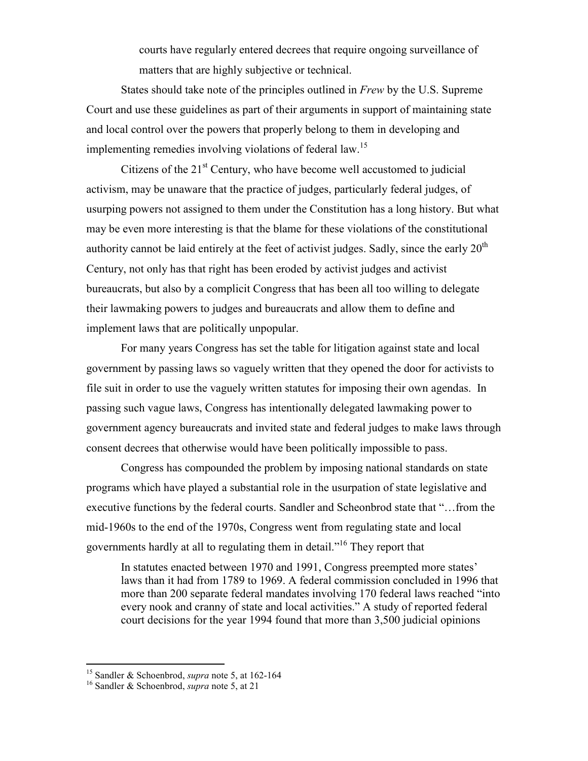courts have regularly entered decrees that require ongoing surveillance of matters that are highly subjective or technical.

States should take note of the principles outlined in Frew by the U.S. Supreme Court and use these guidelines as part of their arguments in support of maintaining state and local control over the powers that properly belong to them in developing and implementing remedies involving violations of federal law.<sup>15</sup>

Citizens of the  $21<sup>st</sup>$  Century, who have become well accustomed to judicial activism, may be unaware that the practice of judges, particularly federal judges, of usurping powers not assigned to them under the Constitution has a long history. But what may be even more interesting is that the blame for these violations of the constitutional authority cannot be laid entirely at the feet of activist judges. Sadly, since the early  $20<sup>th</sup>$ Century, not only has that right has been eroded by activist judges and activist bureaucrats, but also by a complicit Congress that has been all too willing to delegate their lawmaking powers to judges and bureaucrats and allow them to define and implement laws that are politically unpopular.

For many years Congress has set the table for litigation against state and local government by passing laws so vaguely written that they opened the door for activists to file suit in order to use the vaguely written statutes for imposing their own agendas. In passing such vague laws, Congress has intentionally delegated lawmaking power to government agency bureaucrats and invited state and federal judges to make laws through consent decrees that otherwise would have been politically impossible to pass.

Congress has compounded the problem by imposing national standards on state programs which have played a substantial role in the usurpation of state legislative and executive functions by the federal courts. Sandler and Scheonbrod state that "…from the mid-1960s to the end of the 1970s, Congress went from regulating state and local governments hardly at all to regulating them in detail."<sup>16</sup> They report that

In statutes enacted between 1970 and 1991, Congress preempted more states' laws than it had from 1789 to 1969. A federal commission concluded in 1996 that more than 200 separate federal mandates involving 170 federal laws reached "into every nook and cranny of state and local activities." A study of reported federal court decisions for the year 1994 found that more than 3,500 judicial opinions

<sup>&</sup>lt;sup>15</sup> Sandler & Schoenbrod, *supra* note 5, at 162-164

<sup>&</sup>lt;sup>16</sup> Sandler & Schoenbrod, *supra* note 5, at 21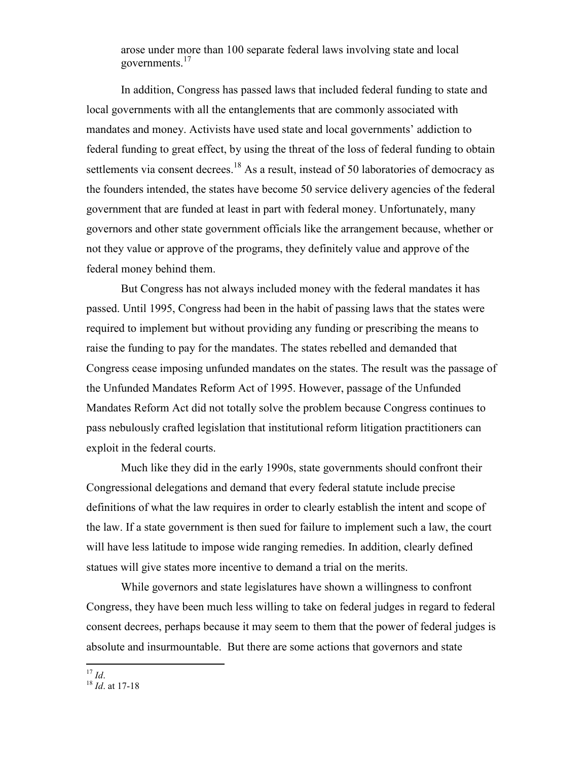arose under more than 100 separate federal laws involving state and local governments.<sup>17</sup>

In addition, Congress has passed laws that included federal funding to state and local governments with all the entanglements that are commonly associated with mandates and money. Activists have used state and local governments' addiction to federal funding to great effect, by using the threat of the loss of federal funding to obtain settlements via consent decrees.<sup>18</sup> As a result, instead of 50 laboratories of democracy as the founders intended, the states have become 50 service delivery agencies of the federal government that are funded at least in part with federal money. Unfortunately, many governors and other state government officials like the arrangement because, whether or not they value or approve of the programs, they definitely value and approve of the federal money behind them.

But Congress has not always included money with the federal mandates it has passed. Until 1995, Congress had been in the habit of passing laws that the states were required to implement but without providing any funding or prescribing the means to raise the funding to pay for the mandates. The states rebelled and demanded that Congress cease imposing unfunded mandates on the states. The result was the passage of the Unfunded Mandates Reform Act of 1995. However, passage of the Unfunded Mandates Reform Act did not totally solve the problem because Congress continues to pass nebulously crafted legislation that institutional reform litigation practitioners can exploit in the federal courts.

Much like they did in the early 1990s, state governments should confront their Congressional delegations and demand that every federal statute include precise definitions of what the law requires in order to clearly establish the intent and scope of the law. If a state government is then sued for failure to implement such a law, the court will have less latitude to impose wide ranging remedies. In addition, clearly defined statues will give states more incentive to demand a trial on the merits.

While governors and state legislatures have shown a willingness to confront Congress, they have been much less willing to take on federal judges in regard to federal consent decrees, perhaps because it may seem to them that the power of federal judges is absolute and insurmountable. But there are some actions that governors and state

<sup>-</sup> $^{17}$  Id.

 $18$  *Id.* at 17-18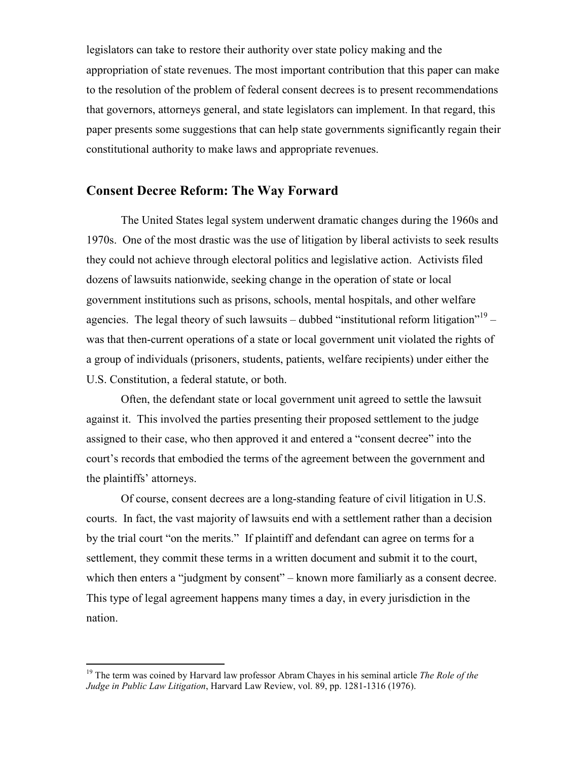legislators can take to restore their authority over state policy making and the appropriation of state revenues. The most important contribution that this paper can make to the resolution of the problem of federal consent decrees is to present recommendations that governors, attorneys general, and state legislators can implement. In that regard, this paper presents some suggestions that can help state governments significantly regain their constitutional authority to make laws and appropriate revenues.

# Consent Decree Reform: The Way Forward

The United States legal system underwent dramatic changes during the 1960s and 1970s. One of the most drastic was the use of litigation by liberal activists to seek results they could not achieve through electoral politics and legislative action. Activists filed dozens of lawsuits nationwide, seeking change in the operation of state or local government institutions such as prisons, schools, mental hospitals, and other welfare agencies. The legal theory of such lawsuits – dubbed "institutional reform litigation"<sup>19</sup> – was that then-current operations of a state or local government unit violated the rights of a group of individuals (prisoners, students, patients, welfare recipients) under either the U.S. Constitution, a federal statute, or both.

Often, the defendant state or local government unit agreed to settle the lawsuit against it. This involved the parties presenting their proposed settlement to the judge assigned to their case, who then approved it and entered a "consent decree" into the court's records that embodied the terms of the agreement between the government and the plaintiffs' attorneys.

Of course, consent decrees are a long-standing feature of civil litigation in U.S. courts. In fact, the vast majority of lawsuits end with a settlement rather than a decision by the trial court "on the merits." If plaintiff and defendant can agree on terms for a settlement, they commit these terms in a written document and submit it to the court, which then enters a "judgment by consent" – known more familiarly as a consent decree. This type of legal agreement happens many times a day, in every jurisdiction in the nation.

<sup>&</sup>lt;sup>19</sup> The term was coined by Harvard law professor Abram Chayes in his seminal article *The Role of the* Judge in Public Law Litigation, Harvard Law Review, vol. 89, pp. 1281-1316 (1976).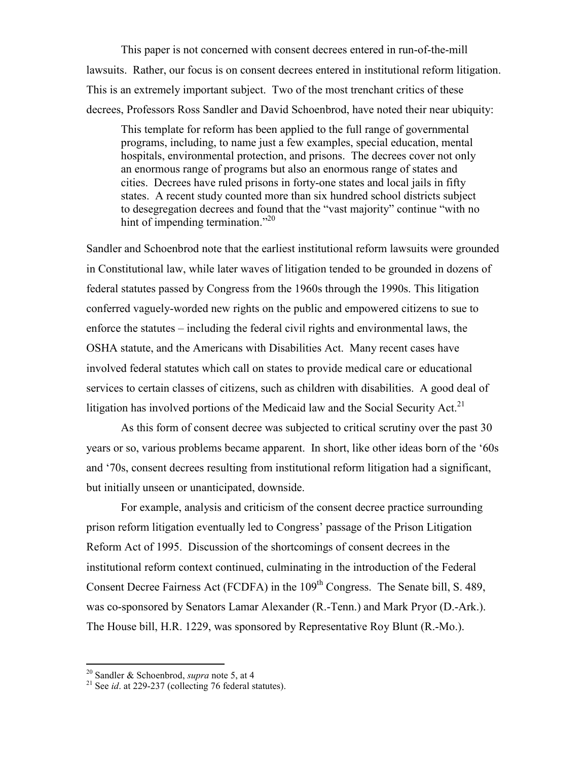This paper is not concerned with consent decrees entered in run-of-the-mill lawsuits. Rather, our focus is on consent decrees entered in institutional reform litigation. This is an extremely important subject. Two of the most trenchant critics of these decrees, Professors Ross Sandler and David Schoenbrod, have noted their near ubiquity:

This template for reform has been applied to the full range of governmental programs, including, to name just a few examples, special education, mental hospitals, environmental protection, and prisons. The decrees cover not only an enormous range of programs but also an enormous range of states and cities. Decrees have ruled prisons in forty-one states and local jails in fifty states. A recent study counted more than six hundred school districts subject to desegregation decrees and found that the "vast majority" continue "with no hint of impending termination."<sup>20</sup>

Sandler and Schoenbrod note that the earliest institutional reform lawsuits were grounded in Constitutional law, while later waves of litigation tended to be grounded in dozens of federal statutes passed by Congress from the 1960s through the 1990s. This litigation conferred vaguely-worded new rights on the public and empowered citizens to sue to enforce the statutes – including the federal civil rights and environmental laws, the OSHA statute, and the Americans with Disabilities Act. Many recent cases have involved federal statutes which call on states to provide medical care or educational services to certain classes of citizens, such as children with disabilities. A good deal of litigation has involved portions of the Medicaid law and the Social Security Act.<sup>21</sup>

As this form of consent decree was subjected to critical scrutiny over the past 30 years or so, various problems became apparent. In short, like other ideas born of the '60s and '70s, consent decrees resulting from institutional reform litigation had a significant, but initially unseen or unanticipated, downside.

For example, analysis and criticism of the consent decree practice surrounding prison reform litigation eventually led to Congress' passage of the Prison Litigation Reform Act of 1995. Discussion of the shortcomings of consent decrees in the institutional reform context continued, culminating in the introduction of the Federal Consent Decree Fairness Act (FCDFA) in the 109<sup>th</sup> Congress. The Senate bill, S. 489, was co-sponsored by Senators Lamar Alexander (R.-Tenn.) and Mark Pryor (D.-Ark.). The House bill, H.R. 1229, was sponsored by Representative Roy Blunt (R.-Mo.).

<sup>&</sup>lt;sup>20</sup> Sandler & Schoenbrod, *supra* note 5, at 4

 $21$  See *id.* at 229-237 (collecting 76 federal statutes).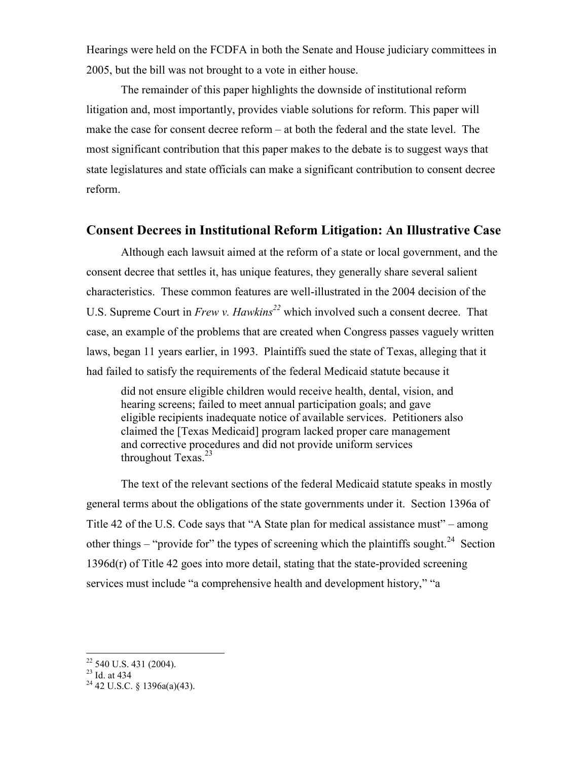Hearings were held on the FCDFA in both the Senate and House judiciary committees in 2005, but the bill was not brought to a vote in either house.

The remainder of this paper highlights the downside of institutional reform litigation and, most importantly, provides viable solutions for reform. This paper will make the case for consent decree reform – at both the federal and the state level. The most significant contribution that this paper makes to the debate is to suggest ways that state legislatures and state officials can make a significant contribution to consent decree reform.

### Consent Decrees in Institutional Reform Litigation: An Illustrative Case

Although each lawsuit aimed at the reform of a state or local government, and the consent decree that settles it, has unique features, they generally share several salient characteristics. These common features are well-illustrated in the 2004 decision of the U.S. Supreme Court in Frew v. Hawkins<sup>22</sup> which involved such a consent decree. That case, an example of the problems that are created when Congress passes vaguely written laws, began 11 years earlier, in 1993. Plaintiffs sued the state of Texas, alleging that it had failed to satisfy the requirements of the federal Medicaid statute because it

did not ensure eligible children would receive health, dental, vision, and hearing screens; failed to meet annual participation goals; and gave eligible recipients inadequate notice of available services. Petitioners also claimed the [Texas Medicaid] program lacked proper care management and corrective procedures and did not provide uniform services throughout Texas. $^{23}$ 

 The text of the relevant sections of the federal Medicaid statute speaks in mostly general terms about the obligations of the state governments under it. Section 1396a of Title 42 of the U.S. Code says that "A State plan for medical assistance must" – among other things – "provide for" the types of screening which the plaintiffs sought.<sup>24</sup> Section 1396d(r) of Title 42 goes into more detail, stating that the state-provided screening services must include "a comprehensive health and development history," "a

 $^{23}$  Id. at 434

 $\overline{a}$  $22$  540 U.S. 431 (2004).

 $24$  42 U.S.C. § 1396a(a)(43).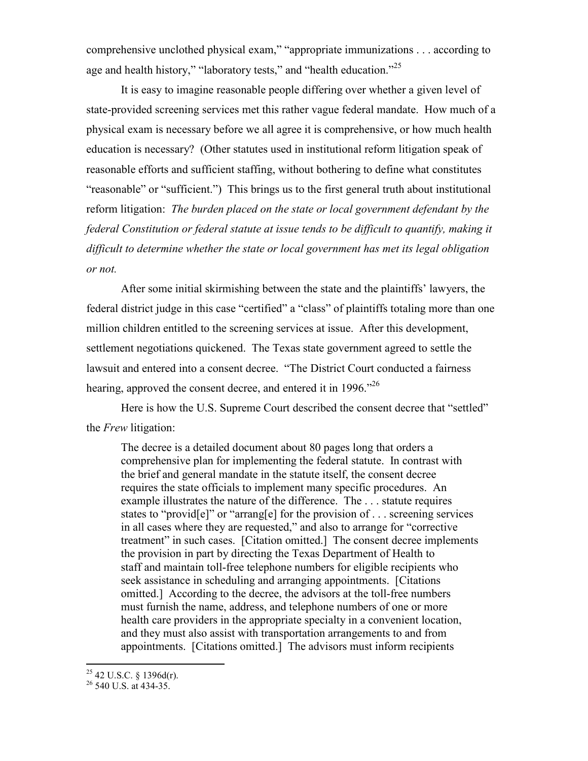comprehensive unclothed physical exam," "appropriate immunizations . . . according to age and health history," "laboratory tests," and "health education."<sup>25</sup>

 It is easy to imagine reasonable people differing over whether a given level of state-provided screening services met this rather vague federal mandate. How much of a physical exam is necessary before we all agree it is comprehensive, or how much health education is necessary? (Other statutes used in institutional reform litigation speak of reasonable efforts and sufficient staffing, without bothering to define what constitutes "reasonable" or "sufficient.") This brings us to the first general truth about institutional reform litigation: The burden placed on the state or local government defendant by the federal Constitution or federal statute at issue tends to be difficult to quantify, making it difficult to determine whether the state or local government has met its legal obligation or not.

After some initial skirmishing between the state and the plaintiffs' lawyers, the federal district judge in this case "certified" a "class" of plaintiffs totaling more than one million children entitled to the screening services at issue. After this development, settlement negotiations quickened. The Texas state government agreed to settle the lawsuit and entered into a consent decree. "The District Court conducted a fairness hearing, approved the consent decree, and entered it in 1996.<sup> $26$ </sup>

Here is how the U.S. Supreme Court described the consent decree that "settled" the Frew litigation:

The decree is a detailed document about 80 pages long that orders a comprehensive plan for implementing the federal statute. In contrast with the brief and general mandate in the statute itself, the consent decree requires the state officials to implement many specific procedures. An example illustrates the nature of the difference. The . . . statute requires states to "provid[e]" or "arrang[e] for the provision of . . . screening services in all cases where they are requested," and also to arrange for "corrective treatment" in such cases. [Citation omitted.] The consent decree implements the provision in part by directing the Texas Department of Health to staff and maintain toll-free telephone numbers for eligible recipients who seek assistance in scheduling and arranging appointments. [Citations omitted.] According to the decree, the advisors at the toll-free numbers must furnish the name, address, and telephone numbers of one or more health care providers in the appropriate specialty in a convenient location, and they must also assist with transportation arrangements to and from appointments. [Citations omitted.] The advisors must inform recipients

 $^{25}$  42 U.S.C. § 1396d(r).

<sup>26</sup> 540 U.S. at 434-35.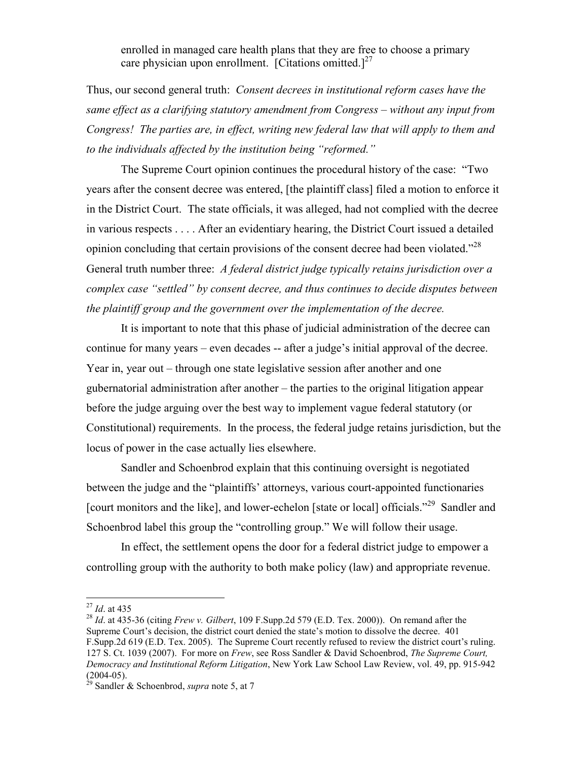enrolled in managed care health plans that they are free to choose a primary care physician upon enrollment. [Citations omitted.]<sup>27</sup>

Thus, our second general truth: *Consent decrees in institutional reform cases have the* same effect as a clarifying statutory amendment from Congress – without any input from Congress! The parties are, in effect, writing new federal law that will apply to them and to the individuals affected by the institution being "reformed."

The Supreme Court opinion continues the procedural history of the case: "Two years after the consent decree was entered, [the plaintiff class] filed a motion to enforce it in the District Court. The state officials, it was alleged, had not complied with the decree in various respects . . . . After an evidentiary hearing, the District Court issued a detailed opinion concluding that certain provisions of the consent decree had been violated."<sup>28</sup> General truth number three: A federal district judge typically retains jurisdiction over a complex case "settled" by consent decree, and thus continues to decide disputes between the plaintiff group and the government over the implementation of the decree.

It is important to note that this phase of judicial administration of the decree can continue for many years – even decades -- after a judge's initial approval of the decree. Year in, year out – through one state legislative session after another and one gubernatorial administration after another – the parties to the original litigation appear before the judge arguing over the best way to implement vague federal statutory (or Constitutional) requirements. In the process, the federal judge retains jurisdiction, but the locus of power in the case actually lies elsewhere.

Sandler and Schoenbrod explain that this continuing oversight is negotiated between the judge and the "plaintiffs' attorneys, various court-appointed functionaries [court monitors and the like], and lower-echelon [state or local] officials."<sup>29</sup> Sandler and Schoenbrod label this group the "controlling group." We will follow their usage.

In effect, the settlement opens the door for a federal district judge to empower a controlling group with the authority to both make policy (law) and appropriate revenue.

 $\overline{a}$ 

 $^{27}$  *Id.* at 435

<sup>&</sup>lt;sup>28</sup> Id. at 435-36 (citing Frew v. Gilbert, 109 F.Supp.2d 579 (E.D. Tex. 2000)). On remand after the Supreme Court's decision, the district court denied the state's motion to dissolve the decree. 401 F.Supp.2d 619 (E.D. Tex. 2005). The Supreme Court recently refused to review the district court's ruling. 127 S. Ct. 1039 (2007). For more on Frew, see Ross Sandler & David Schoenbrod, The Supreme Court, Democracy and Institutional Reform Litigation, New York Law School Law Review, vol. 49, pp. 915-942  $(2004-05)$ .

<sup>&</sup>lt;sup>29</sup> Sandler & Schoenbrod, *supra* note 5, at 7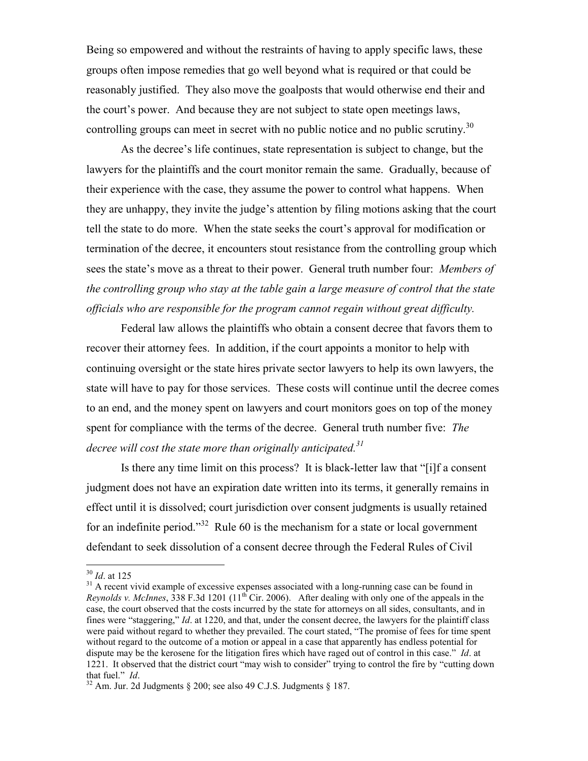Being so empowered and without the restraints of having to apply specific laws, these groups often impose remedies that go well beyond what is required or that could be reasonably justified. They also move the goalposts that would otherwise end their and the court's power. And because they are not subject to state open meetings laws, controlling groups can meet in secret with no public notice and no public scrutiny.<sup>30</sup>

As the decree's life continues, state representation is subject to change, but the lawyers for the plaintiffs and the court monitor remain the same. Gradually, because of their experience with the case, they assume the power to control what happens. When they are unhappy, they invite the judge's attention by filing motions asking that the court tell the state to do more. When the state seeks the court's approval for modification or termination of the decree, it encounters stout resistance from the controlling group which sees the state's move as a threat to their power. General truth number four: Members of the controlling group who stay at the table gain a large measure of control that the state officials who are responsible for the program cannot regain without great difficulty.

Federal law allows the plaintiffs who obtain a consent decree that favors them to recover their attorney fees. In addition, if the court appoints a monitor to help with continuing oversight or the state hires private sector lawyers to help its own lawyers, the state will have to pay for those services. These costs will continue until the decree comes to an end, and the money spent on lawyers and court monitors goes on top of the money spent for compliance with the terms of the decree. General truth number five: The decree will cost the state more than originally anticipated.<sup>31</sup>

Is there any time limit on this process? It is black-letter law that "[i]f a consent judgment does not have an expiration date written into its terms, it generally remains in effect until it is dissolved; court jurisdiction over consent judgments is usually retained for an indefinite period."<sup>32</sup> Rule 60 is the mechanism for a state or local government defendant to seek dissolution of a consent decree through the Federal Rules of Civil

 $30$  *Id.* at 125

<sup>&</sup>lt;sup>31</sup> A recent vivid example of excessive expenses associated with a long-running case can be found in Reynolds v. McInnes, 338 F.3d 1201 ( $11<sup>th</sup>$  Cir. 2006). After dealing with only one of the appeals in the case, the court observed that the costs incurred by the state for attorneys on all sides, consultants, and in fines were "staggering," Id. at 1220, and that, under the consent decree, the lawyers for the plaintiff class were paid without regard to whether they prevailed. The court stated, "The promise of fees for time spent without regard to the outcome of a motion or appeal in a case that apparently has endless potential for dispute may be the kerosene for the litigation fires which have raged out of control in this case." Id. at 1221. It observed that the district court "may wish to consider" trying to control the fire by "cutting down that fuel." Id.

 $32$  Am. Jur. 2d Judgments § 200; see also 49 C.J.S. Judgments § 187.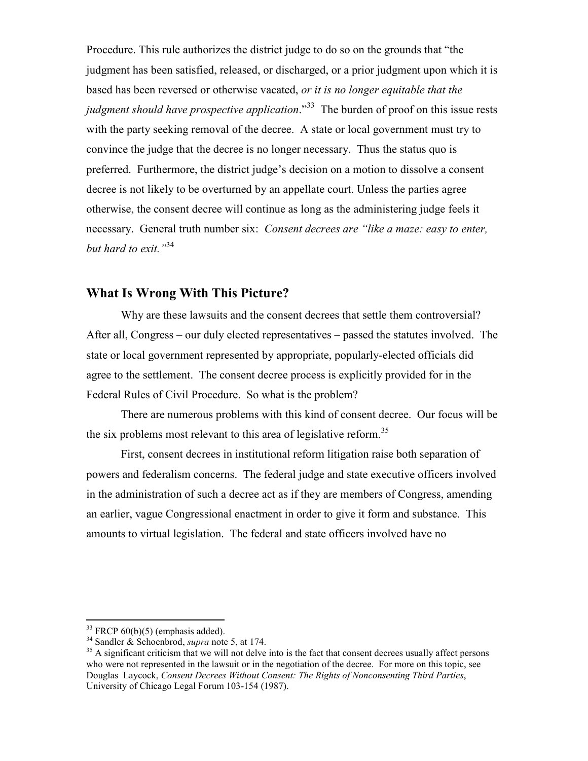Procedure. This rule authorizes the district judge to do so on the grounds that "the judgment has been satisfied, released, or discharged, or a prior judgment upon which it is based has been reversed or otherwise vacated, or it is no longer equitable that the judgment should have prospective application.<sup>33</sup> The burden of proof on this issue rests with the party seeking removal of the decree. A state or local government must try to convince the judge that the decree is no longer necessary. Thus the status quo is preferred. Furthermore, the district judge's decision on a motion to dissolve a consent decree is not likely to be overturned by an appellate court. Unless the parties agree otherwise, the consent decree will continue as long as the administering judge feels it necessary. General truth number six: *Consent decrees are "like a maze: easy to enter*, but hard to exit."<sup>34</sup>

## What Is Wrong With This Picture?

Why are these lawsuits and the consent decrees that settle them controversial? After all, Congress – our duly elected representatives – passed the statutes involved. The state or local government represented by appropriate, popularly-elected officials did agree to the settlement. The consent decree process is explicitly provided for in the Federal Rules of Civil Procedure. So what is the problem?

 There are numerous problems with this kind of consent decree. Our focus will be the six problems most relevant to this area of legislative reform.<sup>35</sup>

 First, consent decrees in institutional reform litigation raise both separation of powers and federalism concerns. The federal judge and state executive officers involved in the administration of such a decree act as if they are members of Congress, amending an earlier, vague Congressional enactment in order to give it form and substance. This amounts to virtual legislation. The federal and state officers involved have no

 $33$  FRCP 60(b)(5) (emphasis added).

 $34$  Sandler & Schoenbrod, *supra* note 5, at 174.

 $35$  A significant criticism that we will not delve into is the fact that consent decrees usually affect persons who were not represented in the lawsuit or in the negotiation of the decree. For more on this topic, see Douglas Laycock, Consent Decrees Without Consent: The Rights of Nonconsenting Third Parties, University of Chicago Legal Forum 103-154 (1987).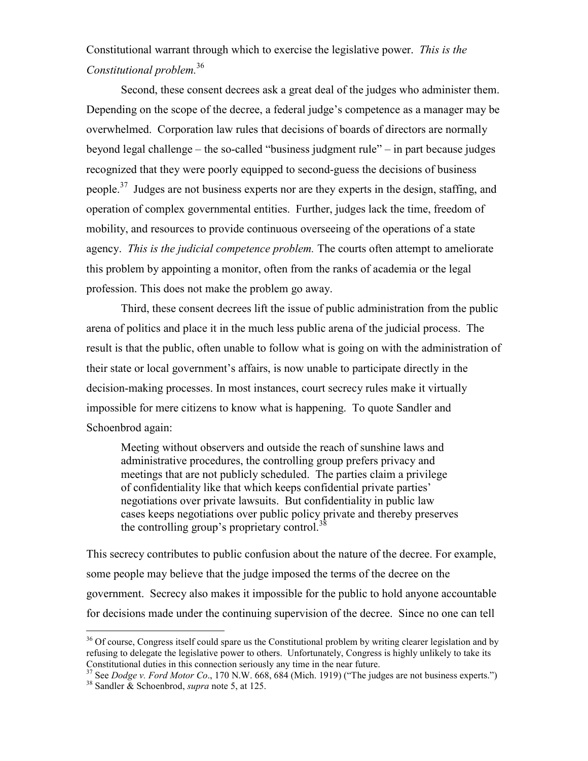Constitutional warrant through which to exercise the legislative power. This is the Constitutional problem.<sup>36</sup>

 Second, these consent decrees ask a great deal of the judges who administer them. Depending on the scope of the decree, a federal judge's competence as a manager may be overwhelmed. Corporation law rules that decisions of boards of directors are normally beyond legal challenge – the so-called "business judgment rule" – in part because judges recognized that they were poorly equipped to second-guess the decisions of business people.<sup>37</sup> Judges are not business experts nor are they experts in the design, staffing, and operation of complex governmental entities. Further, judges lack the time, freedom of mobility, and resources to provide continuous overseeing of the operations of a state agency. This is the judicial competence problem. The courts often attempt to ameliorate this problem by appointing a monitor, often from the ranks of academia or the legal profession. This does not make the problem go away.

Third, these consent decrees lift the issue of public administration from the public arena of politics and place it in the much less public arena of the judicial process. The result is that the public, often unable to follow what is going on with the administration of their state or local government's affairs, is now unable to participate directly in the decision-making processes. In most instances, court secrecy rules make it virtually impossible for mere citizens to know what is happening. To quote Sandler and Schoenbrod again:

 Meeting without observers and outside the reach of sunshine laws and administrative procedures, the controlling group prefers privacy and meetings that are not publicly scheduled. The parties claim a privilege of confidentiality like that which keeps confidential private parties' negotiations over private lawsuits. But confidentiality in public law cases keeps negotiations over public policy private and thereby preserves the controlling group's proprietary control.<sup>38</sup>

This secrecy contributes to public confusion about the nature of the decree. For example, some people may believe that the judge imposed the terms of the decree on the government. Secrecy also makes it impossible for the public to hold anyone accountable for decisions made under the continuing supervision of the decree. Since no one can tell

 $\overline{a}$ 

<sup>&</sup>lt;sup>36</sup> Of course, Congress itself could spare us the Constitutional problem by writing clearer legislation and by refusing to delegate the legislative power to others. Unfortunately, Congress is highly unlikely to take its Constitutional duties in this connection seriously any time in the near future.

<sup>&</sup>lt;sup>37</sup> See Dodge v. Ford Motor Co., 170 N.W. 668, 684 (Mich. 1919) ("The judges are not business experts.")  $38$  Sandler & Schoenbrod, *supra* note 5, at 125.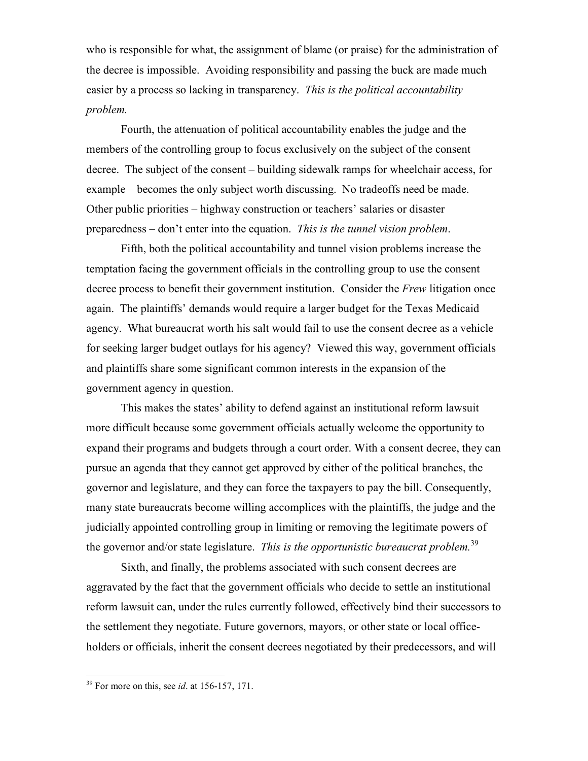who is responsible for what, the assignment of blame (or praise) for the administration of the decree is impossible. Avoiding responsibility and passing the buck are made much easier by a process so lacking in transparency. This is the political accountability problem.

 Fourth, the attenuation of political accountability enables the judge and the members of the controlling group to focus exclusively on the subject of the consent decree. The subject of the consent – building sidewalk ramps for wheelchair access, for example – becomes the only subject worth discussing. No tradeoffs need be made. Other public priorities – highway construction or teachers' salaries or disaster preparedness – don't enter into the equation. This is the tunnel vision problem.

 Fifth, both the political accountability and tunnel vision problems increase the temptation facing the government officials in the controlling group to use the consent decree process to benefit their government institution. Consider the Frew litigation once again. The plaintiffs' demands would require a larger budget for the Texas Medicaid agency. What bureaucrat worth his salt would fail to use the consent decree as a vehicle for seeking larger budget outlays for his agency? Viewed this way, government officials and plaintiffs share some significant common interests in the expansion of the government agency in question.

This makes the states' ability to defend against an institutional reform lawsuit more difficult because some government officials actually welcome the opportunity to expand their programs and budgets through a court order. With a consent decree, they can pursue an agenda that they cannot get approved by either of the political branches, the governor and legislature, and they can force the taxpayers to pay the bill. Consequently, many state bureaucrats become willing accomplices with the plaintiffs, the judge and the judicially appointed controlling group in limiting or removing the legitimate powers of the governor and/or state legislature. This is the opportunistic bureaucrat problem.<sup>39</sup>

 Sixth, and finally, the problems associated with such consent decrees are aggravated by the fact that the government officials who decide to settle an institutional reform lawsuit can, under the rules currently followed, effectively bind their successors to the settlement they negotiate. Future governors, mayors, or other state or local officeholders or officials, inherit the consent decrees negotiated by their predecessors, and will

<u>.</u>

 $39$  For more on this, see *id*. at 156-157, 171.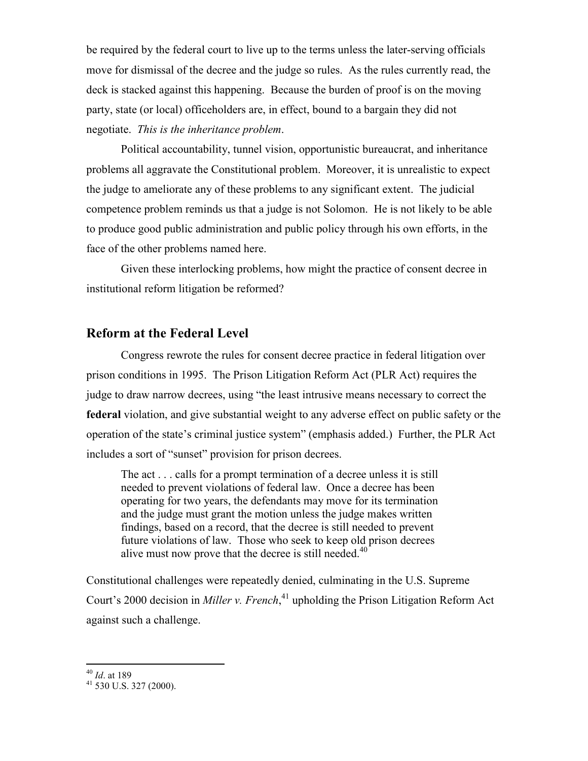be required by the federal court to live up to the terms unless the later-serving officials move for dismissal of the decree and the judge so rules. As the rules currently read, the deck is stacked against this happening. Because the burden of proof is on the moving party, state (or local) officeholders are, in effect, bound to a bargain they did not negotiate. This is the inheritance problem.

 Political accountability, tunnel vision, opportunistic bureaucrat, and inheritance problems all aggravate the Constitutional problem. Moreover, it is unrealistic to expect the judge to ameliorate any of these problems to any significant extent. The judicial competence problem reminds us that a judge is not Solomon. He is not likely to be able to produce good public administration and public policy through his own efforts, in the face of the other problems named here.

 Given these interlocking problems, how might the practice of consent decree in institutional reform litigation be reformed?

## Reform at the Federal Level

 Congress rewrote the rules for consent decree practice in federal litigation over prison conditions in 1995. The Prison Litigation Reform Act (PLR Act) requires the judge to draw narrow decrees, using "the least intrusive means necessary to correct the federal violation, and give substantial weight to any adverse effect on public safety or the operation of the state's criminal justice system" (emphasis added.) Further, the PLR Act includes a sort of "sunset" provision for prison decrees.

 The act . . . calls for a prompt termination of a decree unless it is still needed to prevent violations of federal law. Once a decree has been operating for two years, the defendants may move for its termination and the judge must grant the motion unless the judge makes written findings, based on a record, that the decree is still needed to prevent future violations of law. Those who seek to keep old prison decrees alive must now prove that the decree is still needed. $40$ 

Constitutional challenges were repeatedly denied, culminating in the U.S. Supreme Court's 2000 decision in *Miller v. French*,<sup>41</sup> upholding the Prison Litigation Reform Act against such a challenge.

 $^{40}$  *Id.* at 189

<sup>41</sup> 530 U.S. 327 (2000).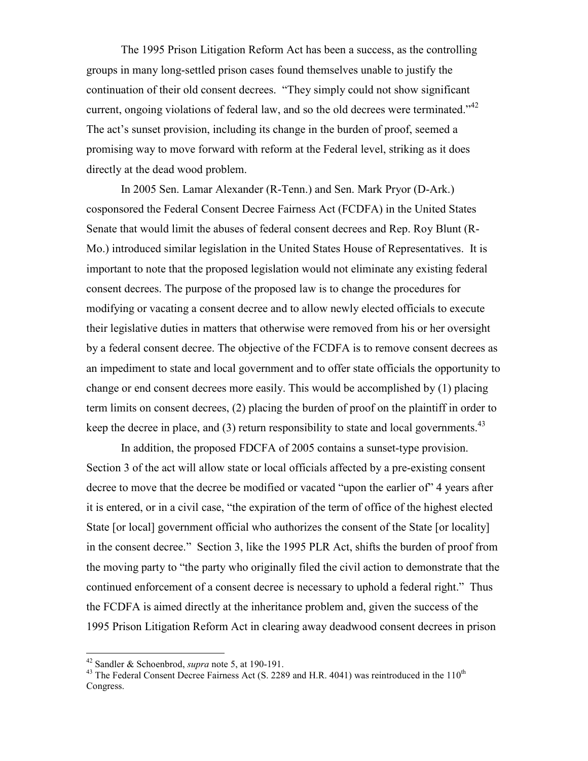The 1995 Prison Litigation Reform Act has been a success, as the controlling groups in many long-settled prison cases found themselves unable to justify the continuation of their old consent decrees. "They simply could not show significant current, ongoing violations of federal law, and so the old decrees were terminated." $42$ The act's sunset provision, including its change in the burden of proof, seemed a promising way to move forward with reform at the Federal level, striking as it does directly at the dead wood problem.

In 2005 Sen. Lamar Alexander (R-Tenn.) and Sen. Mark Pryor (D-Ark.) cosponsored the Federal Consent Decree Fairness Act (FCDFA) in the United States Senate that would limit the abuses of federal consent decrees and Rep. Roy Blunt (R-Mo.) introduced similar legislation in the United States House of Representatives. It is important to note that the proposed legislation would not eliminate any existing federal consent decrees. The purpose of the proposed law is to change the procedures for modifying or vacating a consent decree and to allow newly elected officials to execute their legislative duties in matters that otherwise were removed from his or her oversight by a federal consent decree. The objective of the FCDFA is to remove consent decrees as an impediment to state and local government and to offer state officials the opportunity to change or end consent decrees more easily. This would be accomplished by (1) placing term limits on consent decrees, (2) placing the burden of proof on the plaintiff in order to keep the decree in place, and  $(3)$  return responsibility to state and local governments.<sup>43</sup>

In addition, the proposed FDCFA of 2005 contains a sunset-type provision. Section 3 of the act will allow state or local officials affected by a pre-existing consent decree to move that the decree be modified or vacated "upon the earlier of" 4 years after it is entered, or in a civil case, "the expiration of the term of office of the highest elected State [or local] government official who authorizes the consent of the State [or locality] in the consent decree." Section 3, like the 1995 PLR Act, shifts the burden of proof from the moving party to "the party who originally filed the civil action to demonstrate that the continued enforcement of a consent decree is necessary to uphold a federal right." Thus the FCDFA is aimed directly at the inheritance problem and, given the success of the 1995 Prison Litigation Reform Act in clearing away deadwood consent decrees in prison

<u>.</u>

<sup>&</sup>lt;sup>42</sup> Sandler & Schoenbrod, *supra* note 5, at 190-191.

<sup>&</sup>lt;sup>43</sup> The Federal Consent Decree Fairness Act (S. 2289 and H.R. 4041) was reintroduced in the 110<sup>th</sup> Congress.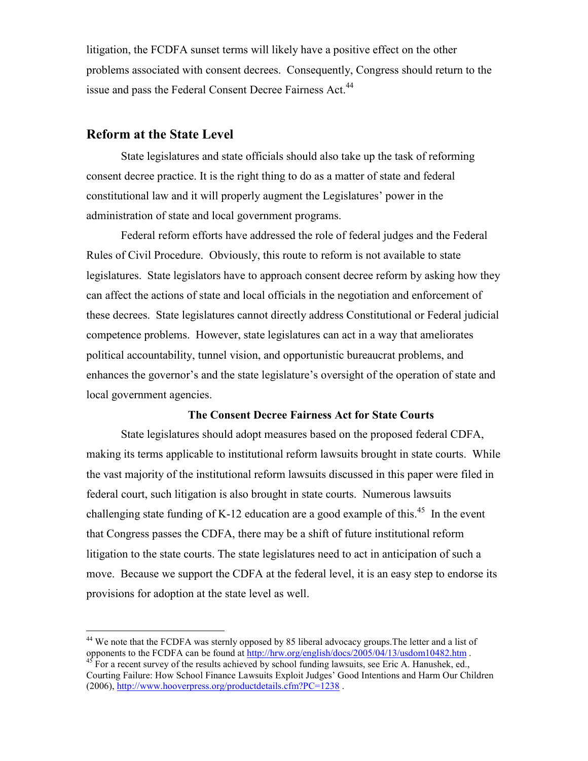litigation, the FCDFA sunset terms will likely have a positive effect on the other problems associated with consent decrees. Consequently, Congress should return to the issue and pass the Federal Consent Decree Fairness Act.<sup>44</sup>

## Reform at the State Level

-

State legislatures and state officials should also take up the task of reforming consent decree practice. It is the right thing to do as a matter of state and federal constitutional law and it will properly augment the Legislatures' power in the administration of state and local government programs.

Federal reform efforts have addressed the role of federal judges and the Federal Rules of Civil Procedure. Obviously, this route to reform is not available to state legislatures. State legislators have to approach consent decree reform by asking how they can affect the actions of state and local officials in the negotiation and enforcement of these decrees. State legislatures cannot directly address Constitutional or Federal judicial competence problems. However, state legislatures can act in a way that ameliorates political accountability, tunnel vision, and opportunistic bureaucrat problems, and enhances the governor's and the state legislature's oversight of the operation of state and local government agencies.

### The Consent Decree Fairness Act for State Courts

State legislatures should adopt measures based on the proposed federal CDFA, making its terms applicable to institutional reform lawsuits brought in state courts. While the vast majority of the institutional reform lawsuits discussed in this paper were filed in federal court, such litigation is also brought in state courts. Numerous lawsuits challenging state funding of K-12 education are a good example of this.<sup>45</sup> In the event that Congress passes the CDFA, there may be a shift of future institutional reform litigation to the state courts. The state legislatures need to act in anticipation of such a move. Because we support the CDFA at the federal level, it is an easy step to endorse its provisions for adoption at the state level as well.

<sup>&</sup>lt;sup>44</sup> We note that the FCDFA was sternly opposed by 85 liberal advocacy groups. The letter and a list of opponents to the FCDFA can be found at http://hrw.org/english/docs/2005/04/13/usdom10482.htm.

 $45$  For a recent survey of the results achieved by school funding lawsuits, see Eric A. Hanushek, ed., Courting Failure: How School Finance Lawsuits Exploit Judges' Good Intentions and Harm Our Children (2006), http://www.hooverpress.org/productdetails.cfm?PC=1238 .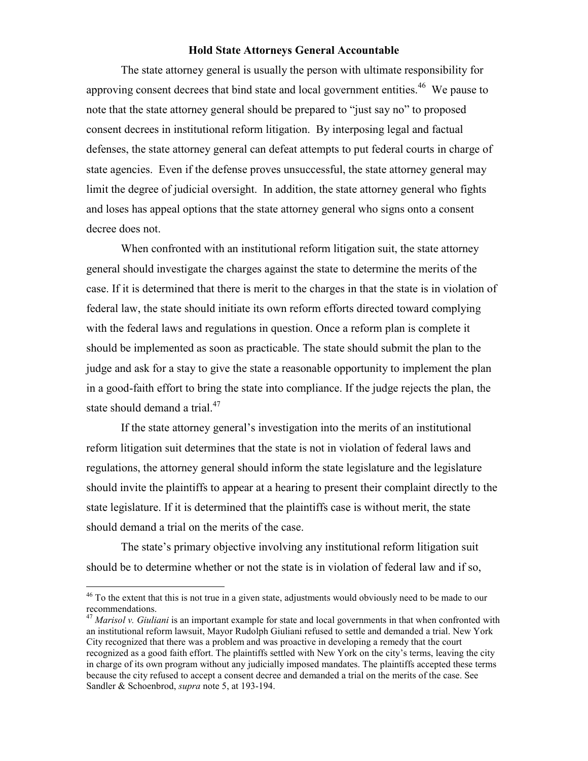#### Hold State Attorneys General Accountable

The state attorney general is usually the person with ultimate responsibility for approving consent decrees that bind state and local government entities.<sup>46</sup> We pause to note that the state attorney general should be prepared to "just say no" to proposed consent decrees in institutional reform litigation. By interposing legal and factual defenses, the state attorney general can defeat attempts to put federal courts in charge of state agencies. Even if the defense proves unsuccessful, the state attorney general may limit the degree of judicial oversight. In addition, the state attorney general who fights and loses has appeal options that the state attorney general who signs onto a consent decree does not.

When confronted with an institutional reform litigation suit, the state attorney general should investigate the charges against the state to determine the merits of the case. If it is determined that there is merit to the charges in that the state is in violation of federal law, the state should initiate its own reform efforts directed toward complying with the federal laws and regulations in question. Once a reform plan is complete it should be implemented as soon as practicable. The state should submit the plan to the judge and ask for a stay to give the state a reasonable opportunity to implement the plan in a good-faith effort to bring the state into compliance. If the judge rejects the plan, the state should demand a trial.<sup>47</sup>

If the state attorney general's investigation into the merits of an institutional reform litigation suit determines that the state is not in violation of federal laws and regulations, the attorney general should inform the state legislature and the legislature should invite the plaintiffs to appear at a hearing to present their complaint directly to the state legislature. If it is determined that the plaintiffs case is without merit, the state should demand a trial on the merits of the case.

The state's primary objective involving any institutional reform litigation suit should be to determine whether or not the state is in violation of federal law and if so,

<u>.</u>

<sup>&</sup>lt;sup>46</sup> To the extent that this is not true in a given state, adjustments would obviously need to be made to our recommendations.

 $^{47}$  *Marisol v. Giuliani* is an important example for state and local governments in that when confronted with an institutional reform lawsuit, Mayor Rudolph Giuliani refused to settle and demanded a trial. New York City recognized that there was a problem and was proactive in developing a remedy that the court recognized as a good faith effort. The plaintiffs settled with New York on the city's terms, leaving the city in charge of its own program without any judicially imposed mandates. The plaintiffs accepted these terms because the city refused to accept a consent decree and demanded a trial on the merits of the case. See Sandler & Schoenbrod, *supra* note 5, at 193-194.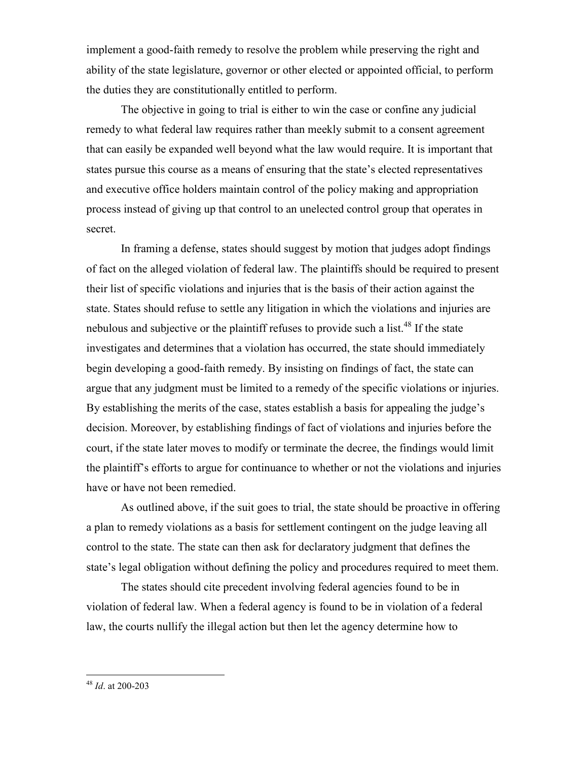implement a good-faith remedy to resolve the problem while preserving the right and ability of the state legislature, governor or other elected or appointed official, to perform the duties they are constitutionally entitled to perform.

The objective in going to trial is either to win the case or confine any judicial remedy to what federal law requires rather than meekly submit to a consent agreement that can easily be expanded well beyond what the law would require. It is important that states pursue this course as a means of ensuring that the state's elected representatives and executive office holders maintain control of the policy making and appropriation process instead of giving up that control to an unelected control group that operates in secret.

In framing a defense, states should suggest by motion that judges adopt findings of fact on the alleged violation of federal law. The plaintiffs should be required to present their list of specific violations and injuries that is the basis of their action against the state. States should refuse to settle any litigation in which the violations and injuries are nebulous and subjective or the plaintiff refuses to provide such a list.<sup>48</sup> If the state investigates and determines that a violation has occurred, the state should immediately begin developing a good-faith remedy. By insisting on findings of fact, the state can argue that any judgment must be limited to a remedy of the specific violations or injuries. By establishing the merits of the case, states establish a basis for appealing the judge's decision. Moreover, by establishing findings of fact of violations and injuries before the court, if the state later moves to modify or terminate the decree, the findings would limit the plaintiff's efforts to argue for continuance to whether or not the violations and injuries have or have not been remedied.

As outlined above, if the suit goes to trial, the state should be proactive in offering a plan to remedy violations as a basis for settlement contingent on the judge leaving all control to the state. The state can then ask for declaratory judgment that defines the state's legal obligation without defining the policy and procedures required to meet them.

The states should cite precedent involving federal agencies found to be in violation of federal law. When a federal agency is found to be in violation of a federal law, the courts nullify the illegal action but then let the agency determine how to

 $48$  *Id.* at 200-203

 $\overline{a}$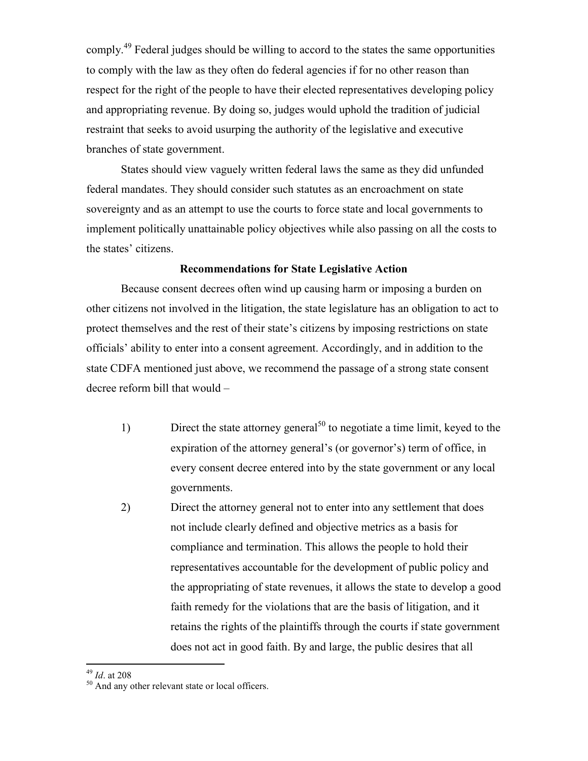comply.<sup>49</sup> Federal judges should be willing to accord to the states the same opportunities to comply with the law as they often do federal agencies if for no other reason than respect for the right of the people to have their elected representatives developing policy and appropriating revenue. By doing so, judges would uphold the tradition of judicial restraint that seeks to avoid usurping the authority of the legislative and executive branches of state government.

States should view vaguely written federal laws the same as they did unfunded federal mandates. They should consider such statutes as an encroachment on state sovereignty and as an attempt to use the courts to force state and local governments to implement politically unattainable policy objectives while also passing on all the costs to the states' citizens.

#### Recommendations for State Legislative Action

Because consent decrees often wind up causing harm or imposing a burden on other citizens not involved in the litigation, the state legislature has an obligation to act to protect themselves and the rest of their state's citizens by imposing restrictions on state officials' ability to enter into a consent agreement. Accordingly, and in addition to the state CDFA mentioned just above, we recommend the passage of a strong state consent decree reform bill that would –

- 1) Direct the state attorney general<sup>50</sup> to negotiate a time limit, keyed to the expiration of the attorney general's (or governor's) term of office, in every consent decree entered into by the state government or any local governments.
- 2) Direct the attorney general not to enter into any settlement that does not include clearly defined and objective metrics as a basis for compliance and termination. This allows the people to hold their representatives accountable for the development of public policy and the appropriating of state revenues, it allows the state to develop a good faith remedy for the violations that are the basis of litigation, and it retains the rights of the plaintiffs through the courts if state government does not act in good faith. By and large, the public desires that all

 $^{49}$  *Id.* at 208

<sup>50</sup> And any other relevant state or local officers.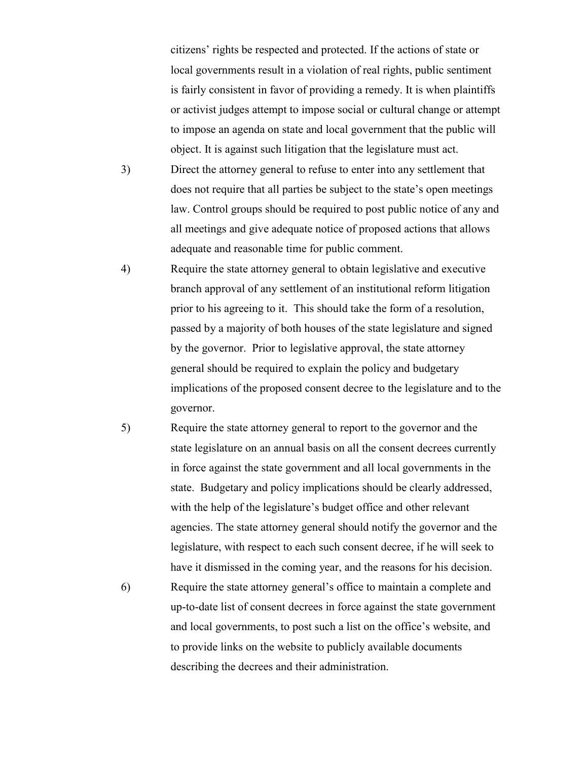citizens' rights be respected and protected. If the actions of state or local governments result in a violation of real rights, public sentiment is fairly consistent in favor of providing a remedy. It is when plaintiffs or activist judges attempt to impose social or cultural change or attempt to impose an agenda on state and local government that the public will object. It is against such litigation that the legislature must act.

- 3) Direct the attorney general to refuse to enter into any settlement that does not require that all parties be subject to the state's open meetings law. Control groups should be required to post public notice of any and all meetings and give adequate notice of proposed actions that allows adequate and reasonable time for public comment.
- 4) Require the state attorney general to obtain legislative and executive branch approval of any settlement of an institutional reform litigation prior to his agreeing to it. This should take the form of a resolution, passed by a majority of both houses of the state legislature and signed by the governor. Prior to legislative approval, the state attorney general should be required to explain the policy and budgetary implications of the proposed consent decree to the legislature and to the governor.
- 5) Require the state attorney general to report to the governor and the state legislature on an annual basis on all the consent decrees currently in force against the state government and all local governments in the state. Budgetary and policy implications should be clearly addressed, with the help of the legislature's budget office and other relevant agencies. The state attorney general should notify the governor and the legislature, with respect to each such consent decree, if he will seek to have it dismissed in the coming year, and the reasons for his decision.
- 6) Require the state attorney general's office to maintain a complete and up-to-date list of consent decrees in force against the state government and local governments, to post such a list on the office's website, and to provide links on the website to publicly available documents describing the decrees and their administration.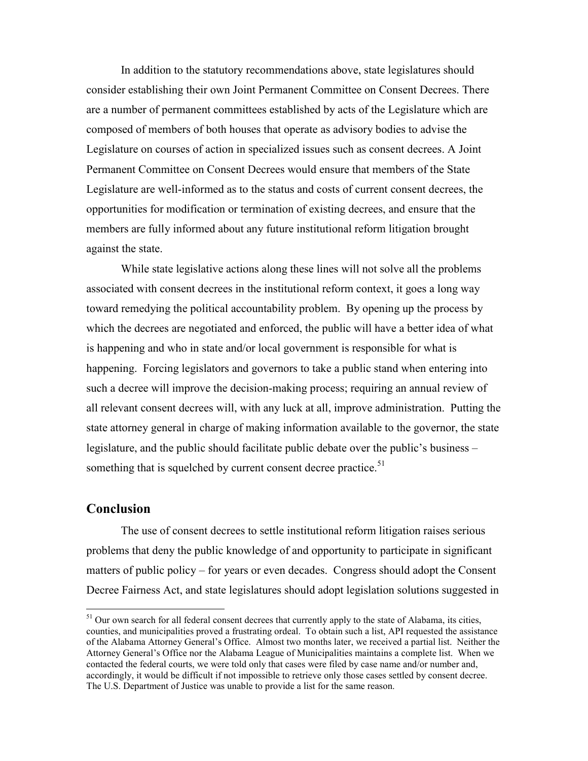In addition to the statutory recommendations above, state legislatures should consider establishing their own Joint Permanent Committee on Consent Decrees. There are a number of permanent committees established by acts of the Legislature which are composed of members of both houses that operate as advisory bodies to advise the Legislature on courses of action in specialized issues such as consent decrees. A Joint Permanent Committee on Consent Decrees would ensure that members of the State Legislature are well-informed as to the status and costs of current consent decrees, the opportunities for modification or termination of existing decrees, and ensure that the members are fully informed about any future institutional reform litigation brought against the state.

While state legislative actions along these lines will not solve all the problems associated with consent decrees in the institutional reform context, it goes a long way toward remedying the political accountability problem. By opening up the process by which the decrees are negotiated and enforced, the public will have a better idea of what is happening and who in state and/or local government is responsible for what is happening. Forcing legislators and governors to take a public stand when entering into such a decree will improve the decision-making process; requiring an annual review of all relevant consent decrees will, with any luck at all, improve administration. Putting the state attorney general in charge of making information available to the governor, the state legislature, and the public should facilitate public debate over the public's business – something that is squelched by current consent decree practice.<sup>51</sup>

## Conclusion

<u>.</u>

 The use of consent decrees to settle institutional reform litigation raises serious problems that deny the public knowledge of and opportunity to participate in significant matters of public policy – for years or even decades. Congress should adopt the Consent Decree Fairness Act, and state legislatures should adopt legislation solutions suggested in

<sup>&</sup>lt;sup>51</sup> Our own search for all federal consent decrees that currently apply to the state of Alabama, its cities, counties, and municipalities proved a frustrating ordeal. To obtain such a list, API requested the assistance of the Alabama Attorney General's Office. Almost two months later, we received a partial list. Neither the Attorney General's Office nor the Alabama League of Municipalities maintains a complete list. When we contacted the federal courts, we were told only that cases were filed by case name and/or number and, accordingly, it would be difficult if not impossible to retrieve only those cases settled by consent decree. The U.S. Department of Justice was unable to provide a list for the same reason.